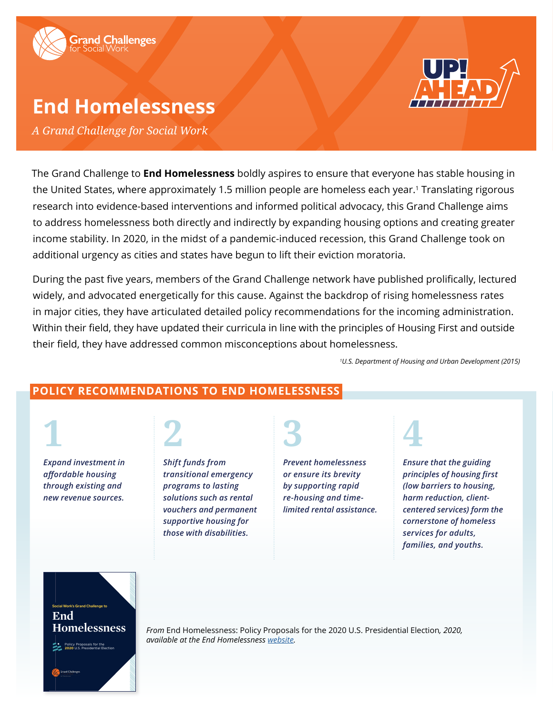

# **End Homelessness**

*A Grand Challenge for Social Work*

The Grand Challenge to **End Homelessness** boldly aspires to ensure that everyone has stable housing in the United States, where approximately 1.5 million people are homeless each year.<sup>1</sup> Translating rigorous research into evidence-based interventions and informed political advocacy, this Grand Challenge aims to address homelessness both directly and indirectly by expanding housing options and creating greater income stability. In 2020, in the midst of a pandemic-induced recession, this Grand Challenge took on additional urgency as cities and states have begun to lift their eviction moratoria.

During the past five years, members of the Grand Challenge network have published prolifically, lectured widely, and advocated energetically for this cause. Against the backdrop of rising homelessness rates in major cities, they have articulated detailed policy recommendations for the incoming administration. Within their field, they have updated their curricula in line with the principles of Housing First and outside their field, they have addressed common misconceptions about homelessness.

*1 U.S. Department of Housing and Urban Development (2015)*

## **POLICY RECOMMENDATIONS TO END HOMELESSNESS**

**1** *Expand investment in affordable housing through existing and* 

*new revenue sources.*



*Shift funds from transitional emergency programs to lasting solutions such as rental vouchers and permanent supportive housing for those with disabilities.*

# **3**

*Prevent homelessness or ensure its brevity by supporting rapid re-housing and timelimited rental assistance.* 



*Ensure that the guiding principles of housing first (low barriers to housing, harm reduction, clientcentered services) form the cornerstone of homeless services for adults, families, and youths.*



**Homelessness** *From* End Homelessness: Policy Proposals for the 2020 U.S. Presidential Election*, 2020, available at the End Homelessness [website](https://www.gc2eh.org/).*